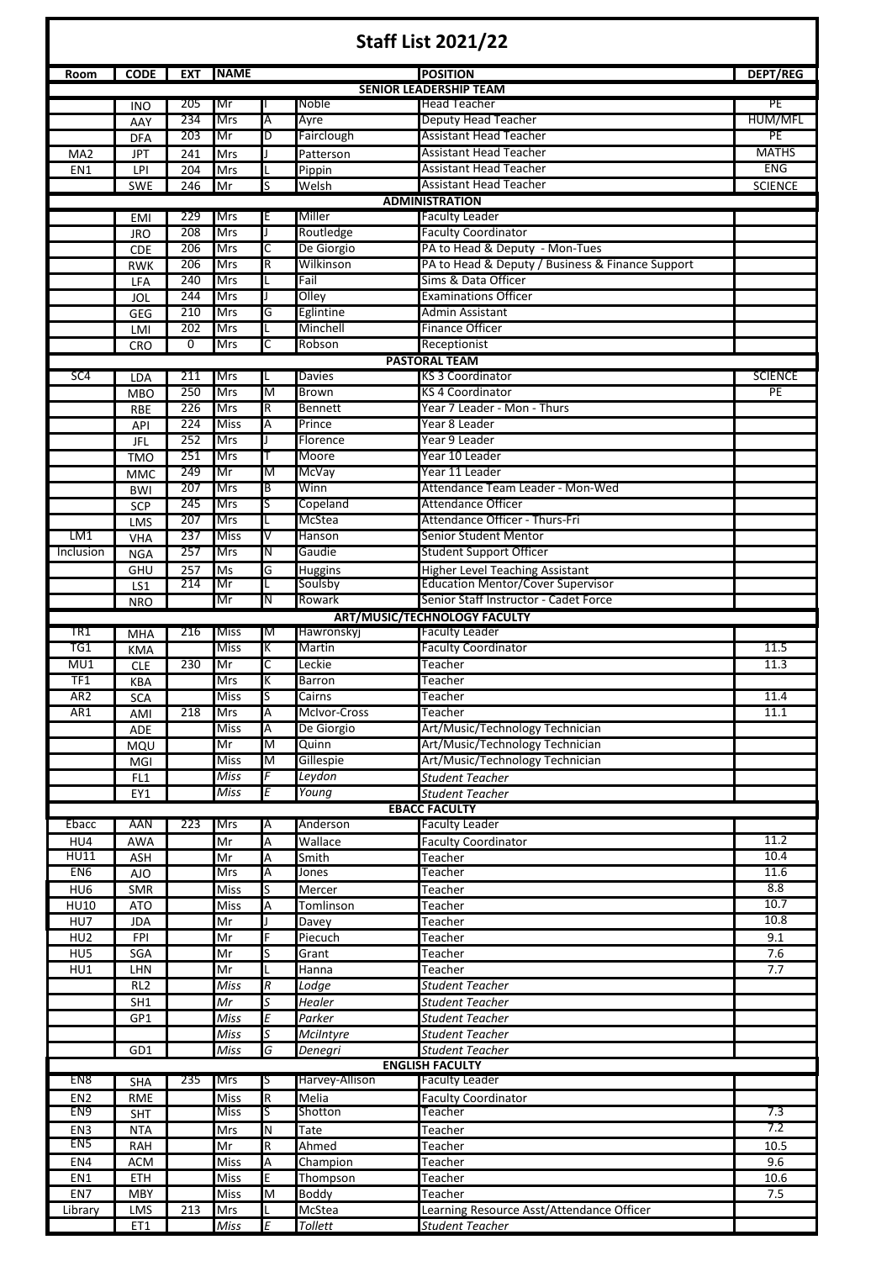| <b>Staff List 2021/22</b>                                                 |                 |            |                          |        |                       |                                                                                   |                    |  |  |  |  |
|---------------------------------------------------------------------------|-----------------|------------|--------------------------|--------|-----------------------|-----------------------------------------------------------------------------------|--------------------|--|--|--|--|
| Room                                                                      | <b>CODE</b>     | <b>EXT</b> | <b>NAME</b>              |        |                       | <b>POSITION</b>                                                                   | <b>DEPT/REG</b>    |  |  |  |  |
|                                                                           |                 |            |                          |        |                       | <b>SENIOR LEADERSHIP TEAM</b>                                                     |                    |  |  |  |  |
|                                                                           | <b>INO</b>      | 205        | Mr                       |        | Noble                 | <b>Head Teacher</b>                                                               | PE                 |  |  |  |  |
|                                                                           | AAY             | 234        | <b>Mrs</b>               | A      | Ayre                  | <b>Deputy Head Teacher</b>                                                        | HUM/MFL            |  |  |  |  |
|                                                                           | <b>DFA</b>      | 203        | Mr                       | D      | Fairclough            | <b>Assistant Head Teacher</b><br><b>Assistant Head Teacher</b>                    | PE<br><b>MATHS</b> |  |  |  |  |
| MA <sub>2</sub>                                                           | JPT             | 241        | Mrs                      |        | Patterson             | <b>Assistant Head Teacher</b>                                                     | <b>ENG</b>         |  |  |  |  |
| EN <sub>1</sub>                                                           | LPI<br>SWE      | 204<br>246 | Mrs<br>Mr                | S      | Pippin<br>Welsh       | <b>Assistant Head Teacher</b>                                                     | <b>SCIENCE</b>     |  |  |  |  |
|                                                                           |                 |            |                          |        |                       | <b>ADMINISTRATION</b>                                                             |                    |  |  |  |  |
|                                                                           | <b>EMI</b>      | 229        | <b>Mrs</b>               | Ε      | Miller                | <b>Faculty Leader</b>                                                             |                    |  |  |  |  |
|                                                                           | <b>JRO</b>      | 208        | Mrs                      | J      | Routledge             | <b>Faculty Coordinator</b>                                                        |                    |  |  |  |  |
|                                                                           | <b>CDE</b>      | 206        | <b>Mrs</b>               | С      | De Giorgio            | PA to Head & Deputy - Mon-Tues                                                    |                    |  |  |  |  |
|                                                                           | <b>RWK</b>      | 206        | Mrs                      | R      | Wilkinson             | PA to Head & Deputy / Business & Finance Support                                  |                    |  |  |  |  |
|                                                                           | LFA             | 240        | <b>Mrs</b>               | L      | Fail                  | Sims & Data Officer                                                               |                    |  |  |  |  |
|                                                                           | JOL             | 244        | Mrs                      |        | Olley                 | <b>Examinations Officer</b>                                                       |                    |  |  |  |  |
|                                                                           | GEG             | 210        | <b>Mrs</b>               | G      | Eglintine<br>Minchell | Admin Assistant                                                                   |                    |  |  |  |  |
|                                                                           | LMI             | 202        | <b>Mrs</b>               |        | Robson                | <b>Finance Officer</b>                                                            |                    |  |  |  |  |
| $\overline{0}$<br>Mrs<br>Receptionist<br>С<br>CRO<br><b>PASTORAL TEAM</b> |                 |            |                          |        |                       |                                                                                   |                    |  |  |  |  |
| SC <sub>4</sub>                                                           | <b>LDA</b>      | 211        | Mrs                      | L      | Davies                | <b>KS 3 Coordinator</b>                                                           | <b>SCIENCE</b>     |  |  |  |  |
|                                                                           | <b>MBO</b>      | 250        | <b>Mrs</b>               | M      | Brown                 | <b>KS 4 Coordinator</b>                                                           | PE                 |  |  |  |  |
|                                                                           | <b>RBE</b>      | 226        | Mrs                      | R      | <b>Bennett</b>        | Year 7 Leader - Mon - Thurs                                                       |                    |  |  |  |  |
|                                                                           | API             | 224        | <b>Miss</b>              | А      | Prince                | Year 8 Leader                                                                     |                    |  |  |  |  |
|                                                                           | JFL             | 252        | Mrs                      |        | Florence              | Year 9 Leader                                                                     |                    |  |  |  |  |
|                                                                           | <b>TMO</b>      | 251        | <b>Mrs</b>               | т      | Moore                 | Year 10 Leader                                                                    |                    |  |  |  |  |
|                                                                           | <b>MMC</b>      | 249        | Mr                       | м      | McVay                 | Year 11 Leader                                                                    |                    |  |  |  |  |
|                                                                           | <b>BWI</b>      | 207        | <b>Mrs</b>               | B      | Winn                  | Attendance Team Leader - Mon-Wed                                                  |                    |  |  |  |  |
|                                                                           | SCP             | 245        | Mrs                      | S      | Copeland              | <b>Attendance Officer</b>                                                         |                    |  |  |  |  |
|                                                                           | LMS             | 207        | Mrs                      | L      | McStea                | Attendance Officer - Thurs-Fri                                                    |                    |  |  |  |  |
| LM1                                                                       | <b>VHA</b>      | 237        | <b>Miss</b>              | v      | Hanson                | <b>Senior Student Mentor</b>                                                      |                    |  |  |  |  |
| Inclusion                                                                 | <b>NGA</b>      | 257        | <b>Mrs</b>               | N      | Gaudie                | <b>Student Support Officer</b>                                                    |                    |  |  |  |  |
|                                                                           | GHU             | 257        | Ms                       | G      | Huggins               | <b>Higher Level Teaching Assistant</b>                                            |                    |  |  |  |  |
|                                                                           | LS <sub>1</sub> | 214        | Mr<br>Mr                 | L      | Soulsby<br>Rowark     | <b>Education Mentor/Cover Supervisor</b><br>Senior Staff Instructor - Cadet Force |                    |  |  |  |  |
|                                                                           | <b>NRO</b>      |            |                          | N      |                       | ART/MUSIC/TECHNOLOGY FACULTY                                                      |                    |  |  |  |  |
| TR1                                                                       | <b>MHA</b>      | 216        | <b>Miss</b>              | M      | Hawronskyj            | <b>Faculty Leader</b>                                                             |                    |  |  |  |  |
| TG1                                                                       | <b>KMA</b>      |            | <b>Miss</b>              | K      | Martin                | <b>Faculty Coordinator</b>                                                        | 11.5               |  |  |  |  |
| MU1                                                                       | <b>CLE</b>      | 230        | Mr                       | С      | Leckie                | Teacher                                                                           | 11.3               |  |  |  |  |
| TF1                                                                       | <b>KBA</b>      |            | Mrs                      | Κ      | Barron                | Teacher                                                                           |                    |  |  |  |  |
| AR <sub>2</sub>                                                           | <b>SCA</b>      |            | Miss                     | S      | Cairns                | Teacher                                                                           | 11.4               |  |  |  |  |
| AR1                                                                       | AMI             | 218        | <b>Mrs</b>               | А      | McIvor-Cross          | <b>Teacher</b>                                                                    | 11.1               |  |  |  |  |
|                                                                           | ADE             |            | <b>Miss</b>              | Α      | De Giorgio            | Art/Music/Technology Technician                                                   |                    |  |  |  |  |
|                                                                           | MQU             |            | Mr                       | M      | Quinn                 | Art/Music/Technology Technician                                                   |                    |  |  |  |  |
|                                                                           | MGI             |            | <b>Miss</b>              | M      | Gillespie             | Art/Music/Technology Technician                                                   |                    |  |  |  |  |
|                                                                           | FL <sub>1</sub> |            | <b>Miss</b>              | F      | Leydon                | <b>Student Teacher</b>                                                            |                    |  |  |  |  |
|                                                                           | EY1             |            | Miss                     | Ε      | Young                 | <b>Student Teacher</b>                                                            |                    |  |  |  |  |
| Ebacc                                                                     | AAN             | 223        | Mrs                      |        | Anderson              | <b>EBACC FACULTY</b>                                                              |                    |  |  |  |  |
| HU4                                                                       |                 |            |                          | А<br>A | Wallace               | <b>Faculty Leader</b>                                                             | 11.2               |  |  |  |  |
| <b>HU11</b>                                                               | AWA<br>ASH      |            | Mr<br>Mr                 | Α      | Smith                 | <b>Faculty Coordinator</b><br>Teacher                                             | 10.4               |  |  |  |  |
| EN <sub>6</sub>                                                           | <b>AJO</b>      |            | <b>Mrs</b>               | А      | Jones                 | <b>Teacher</b>                                                                    | 11.6               |  |  |  |  |
| HU <sub>6</sub>                                                           | SMR             |            | <b>Miss</b>              | S      | Mercer                | Teacher                                                                           | 8.8                |  |  |  |  |
| <b>HU10</b>                                                               | <b>ATO</b>      |            | Miss                     | Α      | Tomlinson             | Teacher                                                                           | 10.7               |  |  |  |  |
| HU7                                                                       | <b>JDA</b>      |            | Mr                       |        | Davey                 | Teacher                                                                           | 10.8               |  |  |  |  |
| HU <sub>2</sub>                                                           | FPI             |            | Mr                       | F      | Piecuch               | Teacher                                                                           | 9.1                |  |  |  |  |
| HUS                                                                       | SGA             |            | Mr                       | S      | Grant                 | Teacher                                                                           | 7.6                |  |  |  |  |
| HU1                                                                       | LHN             |            | Mr                       |        | Hanna                 | Teacher                                                                           | 7.7                |  |  |  |  |
|                                                                           | RL <sub>2</sub> |            | Miss                     | R      | Lodge                 | <b>Student Teacher</b>                                                            |                    |  |  |  |  |
|                                                                           | SH1             |            | Mr                       | S      | Healer                | Student Teacher                                                                   |                    |  |  |  |  |
|                                                                           | GP1             |            | <b>Miss</b>              | E      | Parker                | <b>Student Teacher</b>                                                            |                    |  |  |  |  |
|                                                                           |                 |            | Miss                     | S      | Mcilntyre             | <b>Student Teacher</b>                                                            |                    |  |  |  |  |
|                                                                           | GD1             |            | Miss                     | G      | <b>Denegri</b>        | <b>Student Teacher</b>                                                            |                    |  |  |  |  |
| EN8                                                                       | <b>SHA</b>      | 235        | Mrs                      | ς      | Harvey-Allison        | <b>ENGLISH FACULTY</b><br><b>Faculty Leader</b>                                   |                    |  |  |  |  |
| EN <sub>2</sub>                                                           | RME             |            | Miss                     | R      | Melia                 | <b>Faculty Coordinator</b>                                                        |                    |  |  |  |  |
| EN9                                                                       | SHT             |            | <b>Miss</b>              | S      | Shotton               | <b>Teacher</b>                                                                    | 7.3                |  |  |  |  |
| EN3                                                                       | <b>NTA</b>      |            | Mrs                      | N      | Tate                  | Teacher                                                                           | 7.2                |  |  |  |  |
| EN <sub>5</sub>                                                           | <b>RAH</b>      |            | $\overline{\mathsf{Mr}}$ | R      | Ahmed                 | Teacher                                                                           | 10.5               |  |  |  |  |
| EN4                                                                       | <b>ACM</b>      |            | Miss                     | A      | Champion              | Teacher                                                                           | 9.6                |  |  |  |  |
| EN1                                                                       | ETH             |            | Miss                     | E      | Thompson              | Teacher                                                                           | 10.6               |  |  |  |  |
| EN7                                                                       | <b>MBY</b>      |            | Miss                     | M      | <b>Boddy</b>          | Teacher                                                                           | 7.5                |  |  |  |  |
| Library                                                                   | LMS             | 213        | <b>Mrs</b>               |        | McStea                | Learning Resource Asst/Attendance Officer                                         |                    |  |  |  |  |
|                                                                           | ET1             |            | <b>Miss</b>              | E      | <b>Tollett</b>        | <b>Student Teacher</b>                                                            |                    |  |  |  |  |